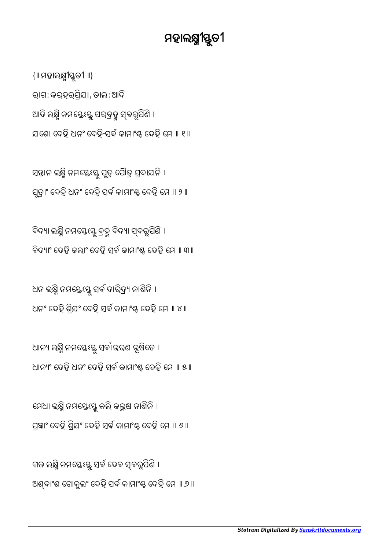ଗଜ ଲକ୍ଷ୍ନି ନମସ୍ତେଽସ୍ତୁ ସର୍ବ ଦେବ ସ୍ଵରୂପିଣି । ଅଶ୍ବାଂଶ ଗୋକୁଲଂ ଦେହି ସର୍ବ କାମାଂଷ୍ଟ ଦେହି ମେ ॥ ୭ ॥

ମେଧା ଲକ୍ଷ୍ମି ନମସ୍ତେଽସ୍ତୁ କଲି କଲ୍ଲଷ ନାଶିନି । ପ୍ରଜ୍ଞାଂ ଦେହି ଶ୍ରିଯଂ ଦେହି ସର୍ବ କାମାଂඝ୍ଚ ଦେହି ମେ ॥ ୬ ॥

ଧାନ୍ୟ ଲକ୍ଷ୍ମି ନମସ୍ତେଽସ୍ତୁ ସର୍ବାଭରଣ ଭୂଷିତେ । ଧାନ୍ୟଂ ଦେହି ଧନଂ ଦେହି ସର୍ବ କାମାଂඝ୍ଚ ଦେହି ମେ ॥ ୫ ॥

ଧନ ଲକ୍ଷ୍ନି ନମସ୍ତେଽସ୍ତୁ ସର୍ବ ଦାରିଦ୍ର୍ୟ ନାଶିନି । ଧନଂ ଦେହି ଶ୍ରିଯଂ ଦେହି ସର୍ବ କାମାଂଷ୍ଟ ଦେହି ମେ ॥ ୪ ॥

ବିଦ୍ୟା ଲକ୍ଷ୍ମି ନମସ୍ତେଽସ୍ତୁ ବ୍ରହ୍ମ ବିଦ୍ୟା ସ୍ଵରୂପିଣି । ବିଦ୍ୟାଂ ଦେହି କଲାଂ ଦେହି ସର୍ବ କାମାଂଷ୍ଟ ଦେହି ମେ ॥ ୩॥

ସନ୍ତାନ ଲକ୍ଷ୍ନ ନମସ୍ତେଽସ୍ତୁ ପୁତ୍ର ପୋତ୍ର ପ୍ରଦାଯନ । ପୁଡ଼ାଂ ଦେହି ଧନଂ ଦେହି ସର୍ବ କାମାଂଷ୍ଟ ଦେହି ମେ ॥ ୨ ॥

{॥ ମହାଲ୍ୟ୍ଯୀସ୍ତୁତୀ ॥} ରାଗ: କରହରପିଯା, ତାଲ: ଆଦି ଆଦି ଲକ୍ଷ୍ମି ନମସ୍ତେଽସ୍ତୁ ପରବ୍ରହ୍ମ ସ୍ଵରୂପିଣି । ଯଣେ। ଦେହ ଧନଂ ଦେହି ସବ କାମାଂଷ୍ଟ ଦେହ ମେ ॥ ୧ ॥<br>ଯଖୋ

## ମହାଲକ୍ଷ୍ମୀସ୍ତୁତୀ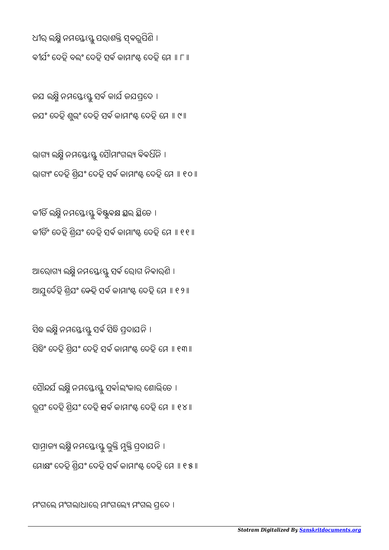ମଂଗଲେ ମଂଗଲାଧାରେ ମାଂଗଲେ୍ୟ ମଂଗଲ ପ୍ରଦେ ।

ସାମ୍ରାଜ୍ୟ ଲକ୍ଷ୍ନ ନମସ୍ତେଽସ୍ତୁ ଭୁକ୍ତ ମୁକ୍ତ ପ୍ରଦାଯନ । ମୋକ୍ଷଂ ଦେହି ଶ୍ରିଯଂ ଦେହି ସର୍ବ କାମାଂଷ୍ଟ ଦେହି ମେ ॥ ୧୫ ॥

ସୌନ୍ଦର୍ଯ ଲକ୍ଷ୍ମି ନମସ୍ତେଽସ୍ତୁ ସର୍ବାଲଂକାର ଶୋଭିତେ । ରୂପଂ ଦେହ ଶ୍ରଯଂ ଦେହ <del>ସ</del>ବ କାମାଂ୫୍ଟ ଦେହ ମେ ॥ ୧୪ ॥<br>'

ସବ୍ଧ ଲକ୍ଷ୍ନ ନମସ୍ତେଽସ୍ତୁ ସବ ସବ୍ଧ ପ୍ରଦାଯନ । ସିଦ୍ଧିଂ ଦେହି ଶ୍ରିଯ° ଦେହି ସର୍ବ କାମାଂଷ୍ଟ ଦେହି ମେ ॥ ୧୩॥

ଆରୋଗ୍ୟ ଲକ୍ଷ୍ମି ନମସ୍ତେଽସ୍ତୁ ସର୍ବ ରୋଗ ନିବାରଣି । ଆଯୁଦେହ ଶ୍ରଯଂ କେହ ସବ କାମାଂଈ୍ଟ ଦେହ ମେ ॥ ୧୨ ॥<br>'

କୀତି ଲକ୍ଷ୍ନି ନମସ୍ତେଽସ୍ତୁ ବିଷ୍ଟୁବକ୍ଷ ସ୍ଥଲ ସ୍ଥିତେ । କୀର୍ତିଂ ଦେହି ଶ୍ରିଯଂ ଦେହି ସର୍ବ କାମାଂඝ୍ଚ ଦେହି ମେ ॥ ୧୧॥

ଭାଗ୍ୟ ଲକ୍ଷ୍ମି ନମସ୍ତେଽସ୍ତୁ ସୌମାଂଗଲ୍ୟ ବିବର୍ଧିନି । ଭାଗ୍ୟଂ ଦେହି ଶ୍ରିଯଂ ଦେହି ସର୍ବ କାମାଂଷ୍ଟ ଦେହି ମେ ॥ ୧୦॥

ଜଯ ଲକ୍ଷ୍ମି ନମସ୍ତେଽସ୍ତୁ ସର୍ବ କାର୍ଯ ଜଯପ୍ରଦେ । ଜଯ° ଦେହି ଶୁଭ୍ଂ ଦେହି ସର୍ବ କାମାଂଷ୍ଟ ଦେହି ମେ ॥ ୯ ॥

ଧୀର ଲକ୍ଷ୍ନି ନମସ୍ତେଽସ୍ତୁ ପରାଶକ୍ତି ସ୍ବରୂପିଣି । କୀର୍ଯଂ ଦେହି ବଲଂ ଦେହି ସର୍ବ କାମାଂ୫ ଦେହି ମେ ॥ ୮ ॥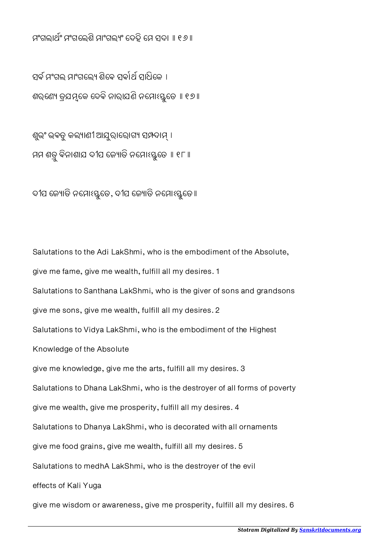ମଂଗଲାଥଂ ମଂଗେଲଶି ମାଂଗଲଂ େଦହି େମ ସଦା ॥ ୧୬॥

ସର୍ବ ମଂଗଲ ମାଂଗଲ୍ୟେ ଶିବେ ସର୍ବାର୍ଥ ସାଧିକେ । ଶରଣ୍ୟେ ତ୍ରଯମ୍ଭକେ ଦେବି ନାରାଯଣି ନମ୍ମୋଃସ୍ତୁତେ ॥ ୧୭ ॥

ଶୁଭଂ ଭବତୁ କଲ୍ୟାଣୀ ଆଯୁରାରୋଗ୍ୟ ସମ୍ପଦାମ୍ । ମମ ଶତ୍ରୁ ବିନାଶାଯ ଦୀପ ଜ୍ୟୋତି ନମୋଽସ୍ତୁତେ ॥ ୧୮ ॥

ଦୀପ ଜ୍ୟୋତି ନମ୍ପୋଽସ୍ତୁତେ, ଦୀପ ଜ୍ୟୋତି ନମ୍ପୋଽସ୍ତୁତେ ॥

Salutations to the Adi LakShmi, who is the embodiment of the Absolute, give me fame, give me wealth, fulfill all my desires. 1 Salutations to Santhana LakShmi, who is the giver of sons and grandsons give me sons, give me wealth, fulfill all my desires. 2 Salutations to Vidya LakShmi, who is the embodiment of the Highest Knowledge of the Absolute give me knowledge, give me the arts, fulfill all my desires. 3 Salutations to Dhana LakShmi, who is the destroyer of all forms of poverty give me wealth, give me prosperity, fulfill all my desires. 4 Salutations to Dhanya LakShmi, who is decorated with all ornaments give me food grains, give me wealth, fulfill all my desires. 5 Salutations to medhA LakShmi, who is the destroyer of the evil effects of Kali Yuga

give me wisdom or awareness, give me prosperity, fulfill all my desires. 6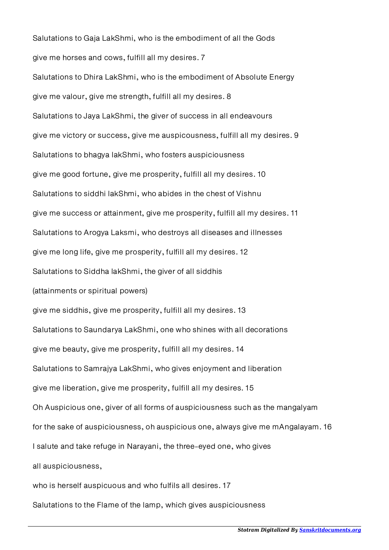Salutations to Gaja LakShmi, who is the embodiment of all the Gods give me horses and cows, fulfill all my desires. 7 Salutations to Dhira LakShmi, who is the embodiment of Absolute Energy give me valour, give me strength, fulfill all my desires. 8 Salutations to Jaya LakShmi, the giver of success in all endeavours give me victory or success, give me auspicousness, fulfill all my desires. 9 Salutations to bhagya lakShmi, who fosters auspiciousness give me good fortune, give me prosperity, fulfill all my desires. 10 Salutations to siddhi lakShmi, who abides in the chest of Vishnu give me success or attainment, give me prosperity, fulfill all my desires. 11 Salutations to Arogya Laksmi, who destroys all diseases and illnesses give me long life, give me prosperity, fulfill all my desires. 12 Salutations to Siddha lakShmi, the giver of all siddhis (attainments or spiritual powers) give me siddhis, give me prosperity, fulfill all my desires. 13 Salutations to Saundarya LakShmi, one who shines with all decorations give me beauty, give me prosperity, fulfill all my desires. 14 Salutations to Samrajya LakShmi, who gives enjoyment and liberation give me liberation, give me prosperity, fulfill all my desires. 15 Oh Auspicious one, giver of all forms of auspiciousness such as the mangalyam for the sake of auspiciousness, oh auspicious one, always give me mAngalayam. 16 I salute and take refuge in Narayani, the three-eyed one, who gives all auspiciousness, who is herself auspicuous and who fulfils all desires. 17

Salutations to the Flame of the lamp, which gives auspiciousness